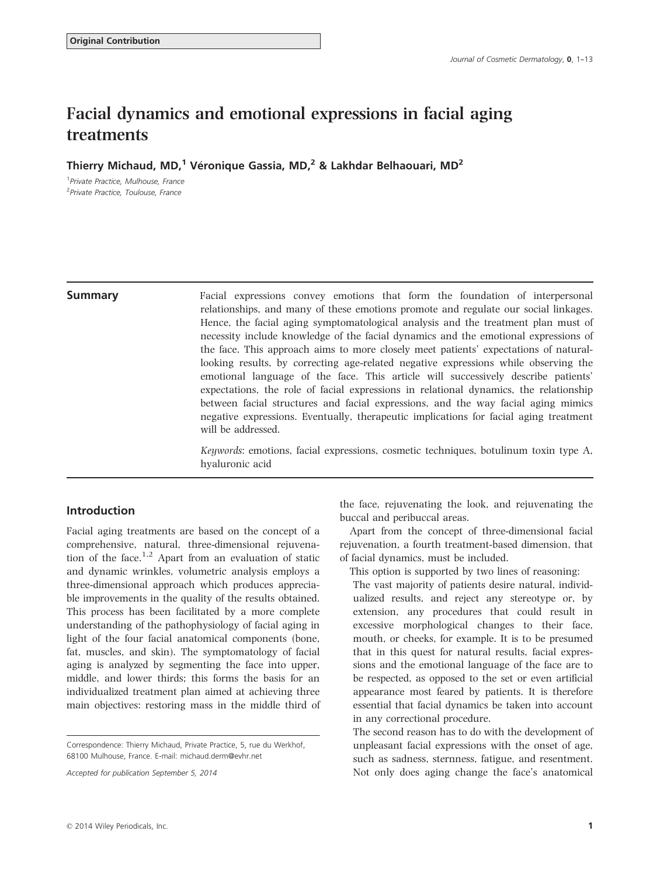# Facial dynamics and emotional expressions in facial aging treatments

Thierry Michaud, MD,<sup>1</sup> Véronique Gassia, MD,<sup>2</sup> & Lakhdar Belhaouari, MD<sup>2</sup>

<sup>1</sup> Private Practice, Mulhouse, France <sup>2</sup> Private Practice, Toulouse, France

**Summary** Facial expressions convey emotions that form the foundation of interpersonal relationships, and many of these emotions promote and regulate our social linkages. Hence, the facial aging symptomatological analysis and the treatment plan must of necessity include knowledge of the facial dynamics and the emotional expressions of the face. This approach aims to more closely meet patients' expectations of naturallooking results, by correcting age-related negative expressions while observing the emotional language of the face. This article will successively describe patients' expectations, the role of facial expressions in relational dynamics, the relationship between facial structures and facial expressions, and the way facial aging mimics negative expressions. Eventually, therapeutic implications for facial aging treatment will be addressed.

> Keywords: emotions, facial expressions, cosmetic techniques, botulinum toxin type A, hyaluronic acid

# Introduction

Facial aging treatments are based on the concept of a comprehensive, natural, three-dimensional rejuvenation of the face.<sup>1,2</sup> Apart from an evaluation of static and dynamic wrinkles, volumetric analysis employs a three-dimensional approach which produces appreciable improvements in the quality of the results obtained. This process has been facilitated by a more complete understanding of the pathophysiology of facial aging in light of the four facial anatomical components (bone, fat, muscles, and skin). The symptomatology of facial aging is analyzed by segmenting the face into upper, middle, and lower thirds; this forms the basis for an individualized treatment plan aimed at achieving three main objectives: restoring mass in the middle third of

Accepted for publication September 5, 2014

the face, rejuvenating the look, and rejuvenating the buccal and peribuccal areas.

Apart from the concept of three-dimensional facial rejuvenation, a fourth treatment-based dimension, that of facial dynamics, must be included.

This option is supported by two lines of reasoning:

The vast majority of patients desire natural, individualized results, and reject any stereotype or, by extension, any procedures that could result in excessive morphological changes to their face, mouth, or cheeks, for example. It is to be presumed that in this quest for natural results, facial expressions and the emotional language of the face are to be respected, as opposed to the set or even artificial appearance most feared by patients. It is therefore essential that facial dynamics be taken into account in any correctional procedure.

The second reason has to do with the development of unpleasant facial expressions with the onset of age, such as sadness, sternness, fatigue, and resentment. Not only does aging change the face's anatomical

Correspondence: Thierry Michaud, Private Practice, 5, rue du Werkhof, 68100 Mulhouse, France. E-mail: michaud.derm@evhr.net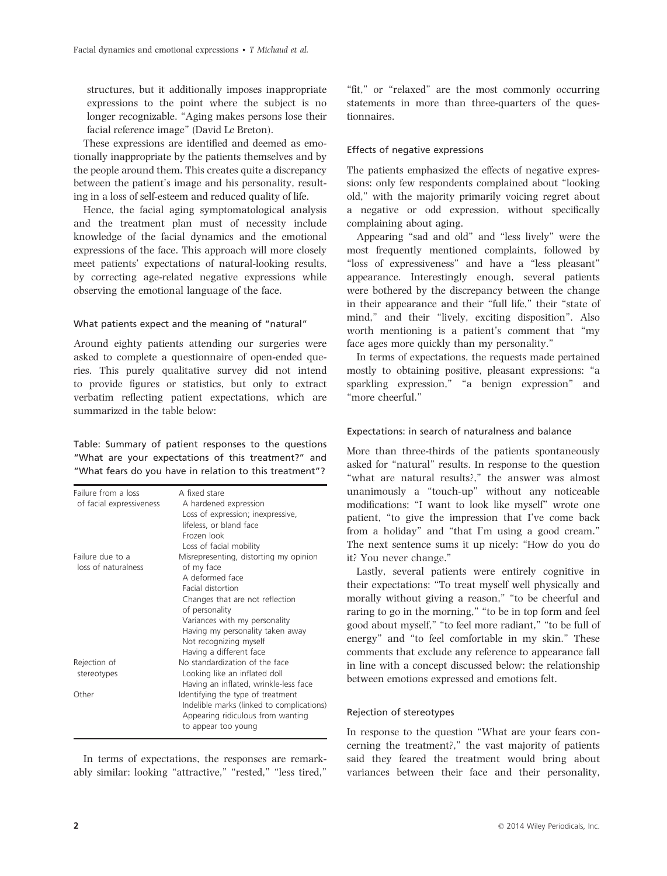structures, but it additionally imposes inappropriate expressions to the point where the subject is no longer recognizable. "Aging makes persons lose their facial reference image" (David Le Breton).

These expressions are identified and deemed as emotionally inappropriate by the patients themselves and by the people around them. This creates quite a discrepancy between the patient's image and his personality, resulting in a loss of self-esteem and reduced quality of life.

Hence, the facial aging symptomatological analysis and the treatment plan must of necessity include knowledge of the facial dynamics and the emotional expressions of the face. This approach will more closely meet patients' expectations of natural-looking results, by correcting age-related negative expressions while observing the emotional language of the face.

# What patients expect and the meaning of "natural"

Around eighty patients attending our surgeries were asked to complete a questionnaire of open-ended queries. This purely qualitative survey did not intend to provide figures or statistics, but only to extract verbatim reflecting patient expectations, which are summarized in the table below:

Table: Summary of patient responses to the questions "What are your expectations of this treatment?" and "What fears do you have in relation to this treatment"?

| Failure from a loss<br>of facial expressiveness | A fixed stare<br>A hardened expression<br>Loss of expression; inexpressive,<br>lifeless, or bland face<br>Frozen look<br>Loss of facial mobility                                                                                                                                   |
|-------------------------------------------------|------------------------------------------------------------------------------------------------------------------------------------------------------------------------------------------------------------------------------------------------------------------------------------|
| Failure due to a<br>loss of naturalness         | Misrepresenting, distorting my opinion<br>of my face<br>A deformed face<br><b>Eacial distortion</b><br>Changes that are not reflection<br>of personality<br>Variances with my personality<br>Having my personality taken away<br>Not recognizing myself<br>Having a different face |
| Rejection of<br>stereotypes                     | No standardization of the face<br>Looking like an inflated doll<br>Having an inflated, wrinkle-less face                                                                                                                                                                           |
| Other                                           | Identifying the type of treatment<br>Indelible marks (linked to complications)<br>Appearing ridiculous from wanting<br>to appear too young                                                                                                                                         |

In terms of expectations, the responses are remarkably similar: looking "attractive," "rested," "less tired,"

"fit," or "relaxed" are the most commonly occurring statements in more than three-quarters of the questionnaires.

# Effects of negative expressions

The patients emphasized the effects of negative expressions: only few respondents complained about "looking old," with the majority primarily voicing regret about a negative or odd expression, without specifically complaining about aging.

Appearing "sad and old" and "less lively" were the most frequently mentioned complaints, followed by "loss of expressiveness" and have a "less pleasant" appearance. Interestingly enough, several patients were bothered by the discrepancy between the change in their appearance and their "full life," their "state of mind," and their "lively, exciting disposition". Also worth mentioning is a patient's comment that "my face ages more quickly than my personality."

In terms of expectations, the requests made pertained mostly to obtaining positive, pleasant expressions: "a sparkling expression," "a benign expression" and "more cheerful."

# Expectations: in search of naturalness and balance

More than three-thirds of the patients spontaneously asked for "natural" results. In response to the question "what are natural results?," the answer was almost unanimously a "touch-up" without any noticeable modifications; "I want to look like myself" wrote one patient, "to give the impression that I've come back from a holiday" and "that I'm using a good cream." The next sentence sums it up nicely: "How do you do it? You never change."

Lastly, several patients were entirely cognitive in their expectations: "To treat myself well physically and morally without giving a reason," "to be cheerful and raring to go in the morning," "to be in top form and feel good about myself," "to feel more radiant," "to be full of energy" and "to feel comfortable in my skin." These comments that exclude any reference to appearance fall in line with a concept discussed below: the relationship between emotions expressed and emotions felt.

# Rejection of stereotypes

In response to the question "What are your fears concerning the treatment?," the vast majority of patients said they feared the treatment would bring about variances between their face and their personality,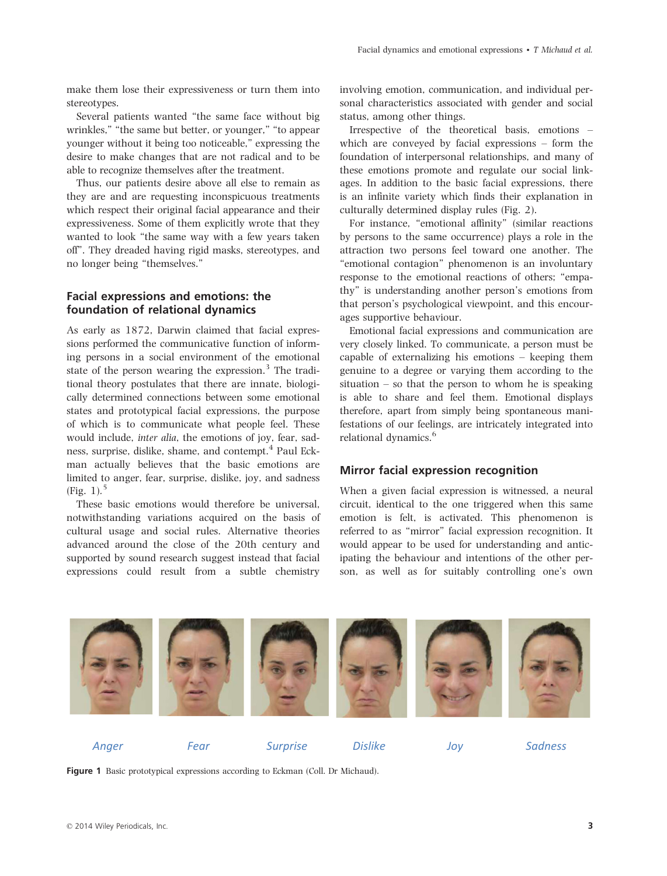make them lose their expressiveness or turn them into stereotypes.

Several patients wanted "the same face without big wrinkles," "the same but better, or younger," "to appear younger without it being too noticeable," expressing the desire to make changes that are not radical and to be able to recognize themselves after the treatment.

Thus, our patients desire above all else to remain as they are and are requesting inconspicuous treatments which respect their original facial appearance and their expressiveness. Some of them explicitly wrote that they wanted to look "the same way with a few years taken off". They dreaded having rigid masks, stereotypes, and no longer being "themselves."

# Facial expressions and emotions: the foundation of relational dynamics

As early as 1872, Darwin claimed that facial expressions performed the communicative function of informing persons in a social environment of the emotional state of the person wearing the expression.<sup>3</sup> The traditional theory postulates that there are innate, biologically determined connections between some emotional states and prototypical facial expressions, the purpose of which is to communicate what people feel. These would include, inter alia, the emotions of joy, fear, sadness, surprise, dislike, shame, and contempt.<sup>4</sup> Paul Eckman actually believes that the basic emotions are limited to anger, fear, surprise, dislike, joy, and sadness (Fig. 1). 5

These basic emotions would therefore be universal, notwithstanding variations acquired on the basis of cultural usage and social rules. Alternative theories advanced around the close of the 20th century and supported by sound research suggest instead that facial expressions could result from a subtle chemistry

involving emotion, communication, and individual personal characteristics associated with gender and social status, among other things.

Irrespective of the theoretical basis, emotions – which are conveyed by facial expressions – form the foundation of interpersonal relationships, and many of these emotions promote and regulate our social linkages. In addition to the basic facial expressions, there is an infinite variety which finds their explanation in culturally determined display rules (Fig. 2).

For instance, "emotional affinity" (similar reactions by persons to the same occurrence) plays a role in the attraction two persons feel toward one another. The "emotional contagion" phenomenon is an involuntary response to the emotional reactions of others; "empathy" is understanding another person's emotions from that person's psychological viewpoint, and this encourages supportive behaviour.

Emotional facial expressions and communication are very closely linked. To communicate, a person must be capable of externalizing his emotions – keeping them genuine to a degree or varying them according to the situation – so that the person to whom he is speaking is able to share and feel them. Emotional displays therefore, apart from simply being spontaneous manifestations of our feelings, are intricately integrated into relational dynamics.<sup>6</sup>

# Mirror facial expression recognition

When a given facial expression is witnessed, a neural circuit, identical to the one triggered when this same emotion is felt, is activated. This phenomenon is referred to as "mirror" facial expression recognition. It would appear to be used for understanding and anticipating the behaviour and intentions of the other person, as well as for suitably controlling one's own



Figure 1 Basic prototypical expressions according to Eckman (Coll. Dr Michaud).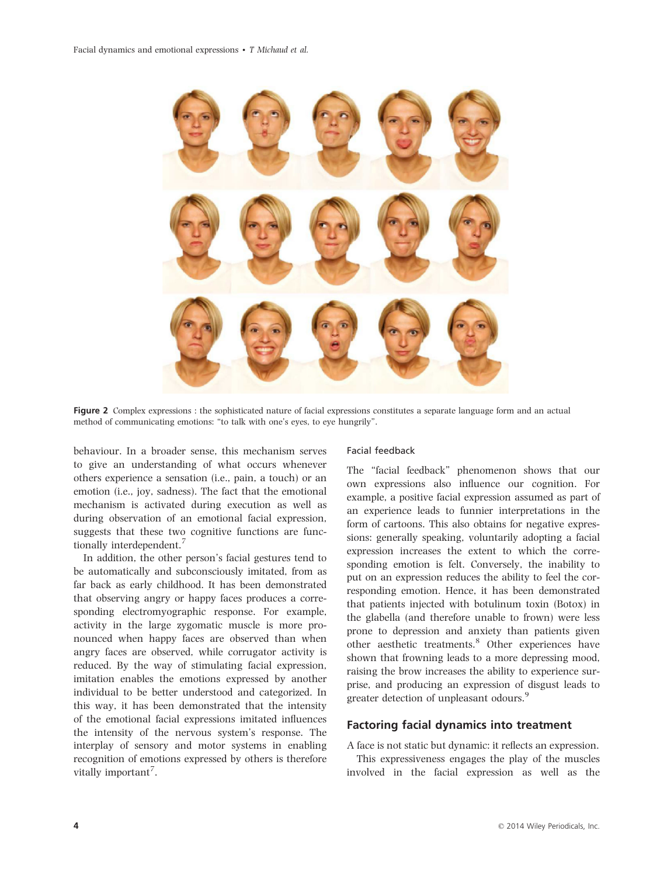

Figure 2 Complex expressions : the sophisticated nature of facial expressions constitutes a separate language form and an actual method of communicating emotions: "to talk with one's eyes, to eye hungrily".

behaviour. In a broader sense, this mechanism serves to give an understanding of what occurs whenever others experience a sensation (i.e., pain, a touch) or an emotion (i.e., joy, sadness). The fact that the emotional mechanism is activated during execution as well as during observation of an emotional facial expression, suggests that these two cognitive functions are functionally interdependent.<sup>7</sup>

In addition, the other person's facial gestures tend to be automatically and subconsciously imitated, from as far back as early childhood. It has been demonstrated that observing angry or happy faces produces a corresponding electromyographic response. For example, activity in the large zygomatic muscle is more pronounced when happy faces are observed than when angry faces are observed, while corrugator activity is reduced. By the way of stimulating facial expression, imitation enables the emotions expressed by another individual to be better understood and categorized. In this way, it has been demonstrated that the intensity of the emotional facial expressions imitated influences the intensity of the nervous system's response. The interplay of sensory and motor systems in enabling recognition of emotions expressed by others is therefore vitally important<sup>7</sup>.

### Facial feedback

The "facial feedback" phenomenon shows that our own expressions also influence our cognition. For example, a positive facial expression assumed as part of an experience leads to funnier interpretations in the form of cartoons. This also obtains for negative expressions: generally speaking, voluntarily adopting a facial expression increases the extent to which the corresponding emotion is felt. Conversely, the inability to put on an expression reduces the ability to feel the corresponding emotion. Hence, it has been demonstrated that patients injected with botulinum toxin (Botox) in the glabella (and therefore unable to frown) were less prone to depression and anxiety than patients given other aesthetic treatments.<sup>8</sup> Other experiences have shown that frowning leads to a more depressing mood, raising the brow increases the ability to experience surprise, and producing an expression of disgust leads to greater detection of unpleasant odours.<sup>9</sup>

# Factoring facial dynamics into treatment

A face is not static but dynamic: it reflects an expression.

This expressiveness engages the play of the muscles involved in the facial expression as well as the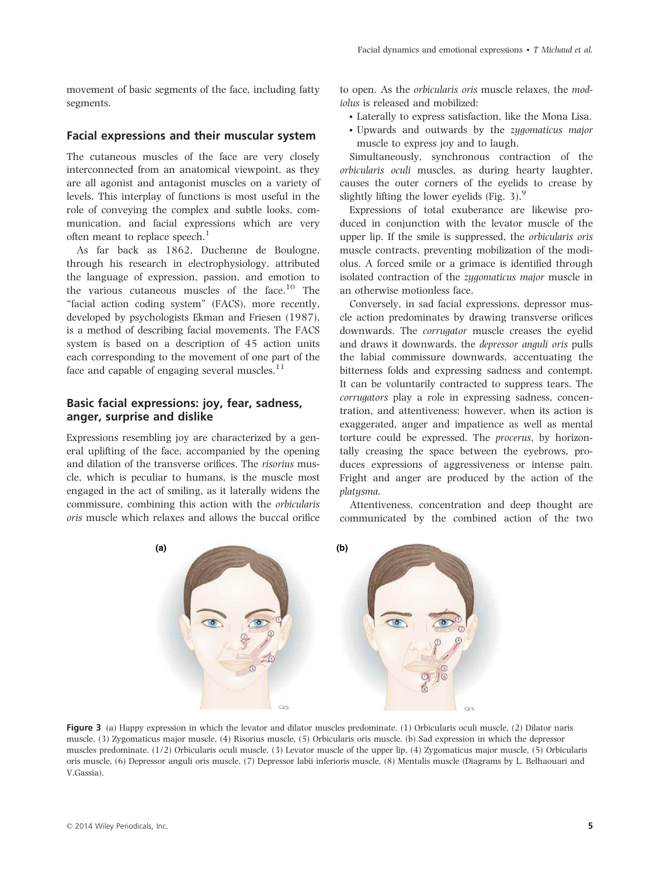movement of basic segments of the face, including fatty segments.

# Facial expressions and their muscular system

The cutaneous muscles of the face are very closely interconnected from an anatomical viewpoint, as they are all agonist and antagonist muscles on a variety of levels. This interplay of functions is most useful in the role of conveying the complex and subtle looks, communication, and facial expressions which are very often meant to replace speech. $<sup>1</sup>$ </sup>

As far back as 1862, Duchenne de Boulogne, through his research in electrophysiology, attributed the language of expression, passion, and emotion to the various cutaneous muscles of the face. $10$  The "facial action coding system" (FACS), more recently, developed by psychologists Ekman and Friesen (1987), is a method of describing facial movements. The FACS system is based on a description of 45 action units each corresponding to the movement of one part of the face and capable of engaging several muscles. $^{11}$ 

# Basic facial expressions: joy, fear, sadness, anger, surprise and dislike

Expressions resembling joy are characterized by a general uplifting of the face, accompanied by the opening and dilation of the transverse orifices. The risorius muscle, which is peculiar to humans, is the muscle most engaged in the act of smiling, as it laterally widens the commissure, combining this action with the orbicularis oris muscle which relaxes and allows the buccal orifice

to open. As the orbicularis oris muscle relaxes, the modiolus is released and mobilized:

- Laterally to express satisfaction, like the Mona Lisa.
- Upwards and outwards by the zygomaticus major muscle to express joy and to laugh.

Simultaneously, synchronous contraction of the orbicularis oculi muscles, as during hearty laughter, causes the outer corners of the eyelids to crease by slightly lifting the lower eyelids (Fig. 3). $9$ 

Expressions of total exuberance are likewise produced in conjunction with the levator muscle of the upper lip. If the smile is suppressed, the orbicularis oris muscle contracts, preventing mobilization of the modiolus. A forced smile or a grimace is identified through isolated contraction of the zygomaticus major muscle in an otherwise motionless face.

Conversely, in sad facial expressions, depressor muscle action predominates by drawing transverse orifices downwards. The corrugator muscle creases the eyelid and draws it downwards, the depressor anguli oris pulls the labial commissure downwards, accentuating the bitterness folds and expressing sadness and contempt. It can be voluntarily contracted to suppress tears. The corrugators play a role in expressing sadness, concentration, and attentiveness; however, when its action is exaggerated, anger and impatience as well as mental torture could be expressed. The procerus, by horizontally creasing the space between the eyebrows, produces expressions of aggressiveness or intense pain. Fright and anger are produced by the action of the platysma.

Attentiveness, concentration and deep thought are communicated by the combined action of the two



Figure 3 (a) Happy expression in which the levator and dilator muscles predominate. (1) Orbicularis oculi muscle, (2) Dilator naris muscle, (3) Zygomaticus major muscle, (4) Risorius muscle, (5) Orbicularis oris muscle. (b) Sad expression in which the depressor muscles predominate. (1/2) Orbicularis oculi muscle, (3) Levator muscle of the upper lip, (4) Zygomaticus major muscle, (5) Orbicularis oris muscle, (6) Depressor anguli oris muscle, (7) Depressor labii inferioris muscle, (8) Mentalis muscle (Diagrams by L. Belhaouari and V.Gassia).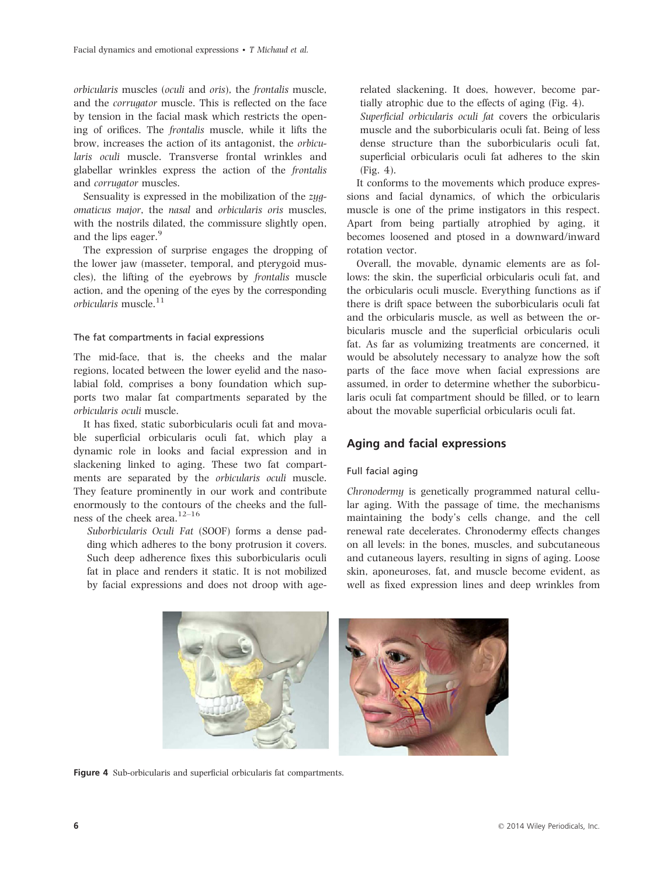orbicularis muscles (oculi and oris), the frontalis muscle, and the corrugator muscle. This is reflected on the face by tension in the facial mask which restricts the opening of orifices. The frontalis muscle, while it lifts the brow, increases the action of its antagonist, the orbicularis oculi muscle. Transverse frontal wrinkles and glabellar wrinkles express the action of the frontalis and corrugator muscles.

Sensuality is expressed in the mobilization of the zygomaticus major, the nasal and orbicularis oris muscles, with the nostrils dilated, the commissure slightly open, and the lips eager.<sup>9</sup>

The expression of surprise engages the dropping of the lower jaw (masseter, temporal, and pterygoid muscles), the lifting of the eyebrows by frontalis muscle action, and the opening of the eyes by the corresponding  $orbicularis$  muscle.<sup>11</sup>

# The fat compartments in facial expressions

The mid-face, that is, the cheeks and the malar regions, located between the lower eyelid and the nasolabial fold, comprises a bony foundation which supports two malar fat compartments separated by the orbicularis oculi muscle.

It has fixed, static suborbicularis oculi fat and movable superficial orbicularis oculi fat, which play a dynamic role in looks and facial expression and in slackening linked to aging. These two fat compartments are separated by the orbicularis oculi muscle. They feature prominently in our work and contribute enormously to the contours of the cheeks and the fullness of the cheek area.<sup>12–16</sup>

Suborbicularis Oculi Fat (SOOF) forms a dense padding which adheres to the bony protrusion it covers. Such deep adherence fixes this suborbicularis oculi fat in place and renders it static. It is not mobilized by facial expressions and does not droop with agerelated slackening. It does, however, become partially atrophic due to the effects of aging (Fig. 4).

Superficial orbicularis oculi fat covers the orbicularis muscle and the suborbicularis oculi fat. Being of less dense structure than the suborbicularis oculi fat, superficial orbicularis oculi fat adheres to the skin (Fig. 4).

It conforms to the movements which produce expressions and facial dynamics, of which the orbicularis muscle is one of the prime instigators in this respect. Apart from being partially atrophied by aging, it becomes loosened and ptosed in a downward/inward rotation vector.

Overall, the movable, dynamic elements are as follows: the skin, the superficial orbicularis oculi fat, and the orbicularis oculi muscle. Everything functions as if there is drift space between the suborbicularis oculi fat and the orbicularis muscle, as well as between the orbicularis muscle and the superficial orbicularis oculi fat. As far as volumizing treatments are concerned, it would be absolutely necessary to analyze how the soft parts of the face move when facial expressions are assumed, in order to determine whether the suborbicularis oculi fat compartment should be filled, or to learn about the movable superficial orbicularis oculi fat.

# Aging and facial expressions

#### Full facial aging

Chronodermy is genetically programmed natural cellular aging. With the passage of time, the mechanisms maintaining the body's cells change, and the cell renewal rate decelerates. Chronodermy effects changes on all levels: in the bones, muscles, and subcutaneous and cutaneous layers, resulting in signs of aging. Loose skin, aponeuroses, fat, and muscle become evident, as well as fixed expression lines and deep wrinkles from



Figure 4 Sub-orbicularis and superficial orbicularis fat compartments.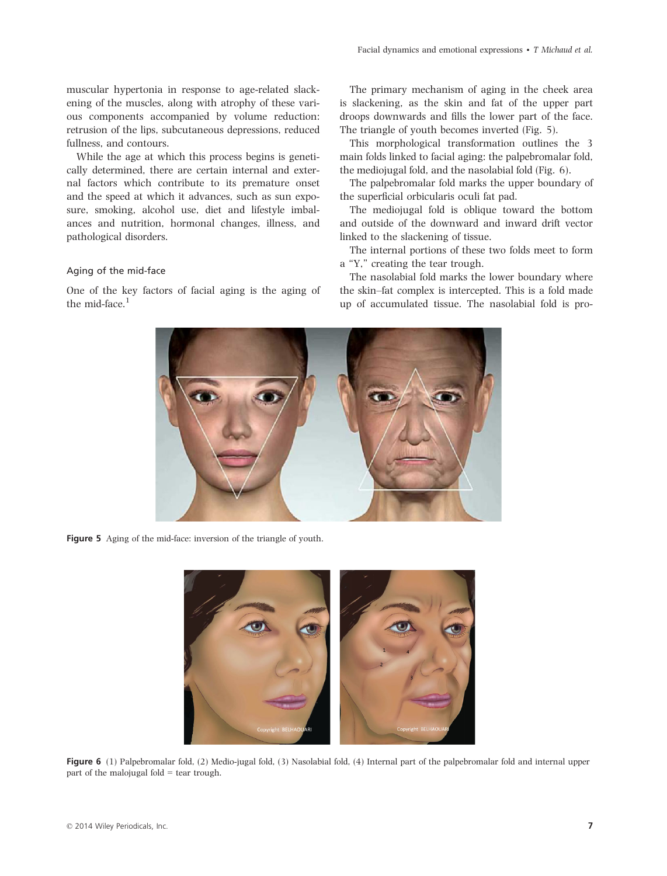muscular hypertonia in response to age-related slackening of the muscles, along with atrophy of these various components accompanied by volume reduction: retrusion of the lips, subcutaneous depressions, reduced fullness, and contours.

While the age at which this process begins is genetically determined, there are certain internal and external factors which contribute to its premature onset and the speed at which it advances, such as sun exposure, smoking, alcohol use, diet and lifestyle imbalances and nutrition, hormonal changes, illness, and pathological disorders.

#### Aging of the mid-face

One of the key factors of facial aging is the aging of the mid-face. $1$ 

The primary mechanism of aging in the cheek area is slackening, as the skin and fat of the upper part droops downwards and fills the lower part of the face. The triangle of youth becomes inverted (Fig. 5).

This morphological transformation outlines the 3 main folds linked to facial aging: the palpebromalar fold, the mediojugal fold, and the nasolabial fold (Fig. 6).

The palpebromalar fold marks the upper boundary of the superficial orbicularis oculi fat pad.

The mediojugal fold is oblique toward the bottom and outside of the downward and inward drift vector linked to the slackening of tissue.

The internal portions of these two folds meet to form a "Y," creating the tear trough.

The nasolabial fold marks the lower boundary where the skin–fat complex is intercepted. This is a fold made up of accumulated tissue. The nasolabial fold is pro-



Figure 5 Aging of the mid-face: inversion of the triangle of youth.



Figure 6 (1) Palpebromalar fold, (2) Medio-jugal fold, (3) Nasolabial fold, (4) Internal part of the palpebromalar fold and internal upper part of the malojugal fold = tear trough.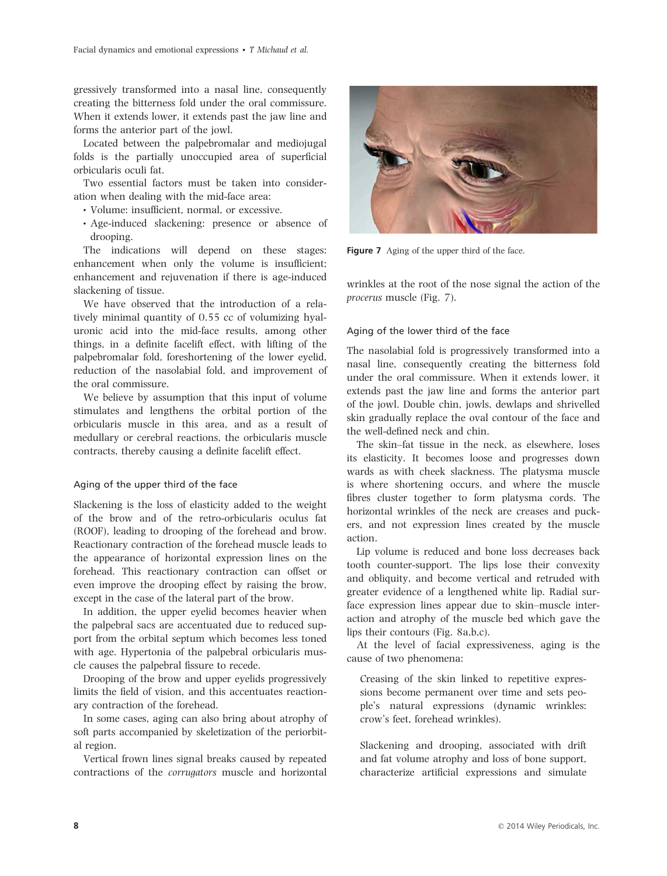gressively transformed into a nasal line, consequently creating the bitterness fold under the oral commissure. When it extends lower, it extends past the jaw line and forms the anterior part of the jowl.

Located between the palpebromalar and mediojugal folds is the partially unoccupied area of superficial orbicularis oculi fat.

Two essential factors must be taken into consideration when dealing with the mid-face area:

- Volume: insufficient, normal, or excessive.
- Age-induced slackening: presence or absence of drooping.

The indications will depend on these stages: enhancement when only the volume is insufficient; enhancement and rejuvenation if there is age-induced slackening of tissue.

We have observed that the introduction of a relatively minimal quantity of 0.55 cc of volumizing hyaluronic acid into the mid-face results, among other things, in a definite facelift effect, with lifting of the palpebromalar fold, foreshortening of the lower eyelid, reduction of the nasolabial fold, and improvement of the oral commissure.

We believe by assumption that this input of volume stimulates and lengthens the orbital portion of the orbicularis muscle in this area, and as a result of medullary or cerebral reactions, the orbicularis muscle contracts, thereby causing a definite facelift effect.

#### Aging of the upper third of the face

Slackening is the loss of elasticity added to the weight of the brow and of the retro-orbicularis oculus fat (ROOF), leading to drooping of the forehead and brow. Reactionary contraction of the forehead muscle leads to the appearance of horizontal expression lines on the forehead. This reactionary contraction can offset or even improve the drooping effect by raising the brow, except in the case of the lateral part of the brow.

In addition, the upper eyelid becomes heavier when the palpebral sacs are accentuated due to reduced support from the orbital septum which becomes less toned with age. Hypertonia of the palpebral orbicularis muscle causes the palpebral fissure to recede.

Drooping of the brow and upper eyelids progressively limits the field of vision, and this accentuates reactionary contraction of the forehead.

In some cases, aging can also bring about atrophy of soft parts accompanied by skeletization of the periorbital region.

Vertical frown lines signal breaks caused by repeated contractions of the corrugators muscle and horizontal



Figure 7 Aging of the upper third of the face.

wrinkles at the root of the nose signal the action of the procerus muscle (Fig. 7).

#### Aging of the lower third of the face

The nasolabial fold is progressively transformed into a nasal line, consequently creating the bitterness fold under the oral commissure. When it extends lower, it extends past the jaw line and forms the anterior part of the jowl. Double chin, jowls, dewlaps and shrivelled skin gradually replace the oval contour of the face and the well-defined neck and chin.

The skin–fat tissue in the neck, as elsewhere, loses its elasticity. It becomes loose and progresses down wards as with cheek slackness. The platysma muscle is where shortening occurs, and where the muscle fibres cluster together to form platysma cords. The horizontal wrinkles of the neck are creases and puckers, and not expression lines created by the muscle action.

Lip volume is reduced and bone loss decreases back tooth counter-support. The lips lose their convexity and obliquity, and become vertical and retruded with greater evidence of a lengthened white lip. Radial surface expression lines appear due to skin–muscle interaction and atrophy of the muscle bed which gave the lips their contours (Fig. 8a,b,c).

At the level of facial expressiveness, aging is the cause of two phenomena:

Creasing of the skin linked to repetitive expressions become permanent over time and sets people's natural expressions (dynamic wrinkles: crow's feet, forehead wrinkles).

Slackening and drooping, associated with drift and fat volume atrophy and loss of bone support, characterize artificial expressions and simulate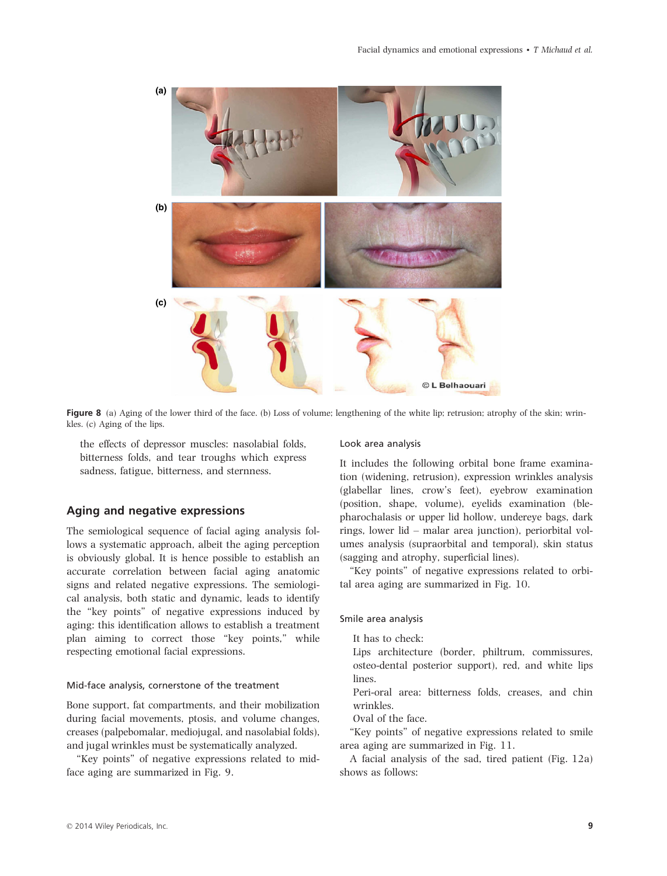

Figure 8 (a) Aging of the lower third of the face. (b) Loss of volume; lengthening of the white lip; retrusion; atrophy of the skin; wrinkles. (c) Aging of the lips.

the effects of depressor muscles: nasolabial folds, bitterness folds, and tear troughs which express sadness, fatigue, bitterness, and sternness.

# Aging and negative expressions

The semiological sequence of facial aging analysis follows a systematic approach, albeit the aging perception is obviously global. It is hence possible to establish an accurate correlation between facial aging anatomic signs and related negative expressions. The semiological analysis, both static and dynamic, leads to identify the "key points" of negative expressions induced by aging: this identification allows to establish a treatment plan aiming to correct those "key points," while respecting emotional facial expressions.

### Mid-face analysis, cornerstone of the treatment

Bone support, fat compartments, and their mobilization during facial movements, ptosis, and volume changes, creases (palpebomalar, mediojugal, and nasolabial folds), and jugal wrinkles must be systematically analyzed.

"Key points" of negative expressions related to midface aging are summarized in Fig. 9.

Look area analysis

It includes the following orbital bone frame examination (widening, retrusion), expression wrinkles analysis (glabellar lines, crow's feet), eyebrow examination (position, shape, volume), eyelids examination (blepharochalasis or upper lid hollow, undereye bags, dark rings, lower lid – malar area junction), periorbital volumes analysis (supraorbital and temporal), skin status (sagging and atrophy, superficial lines).

"Key points" of negative expressions related to orbital area aging are summarized in Fig. 10.

#### Smile area analysis

It has to check:

Lips architecture (border, philtrum, commissures, osteo-dental posterior support), red, and white lips lines.

Peri-oral area: bitterness folds, creases, and chin wrinkles.

Oval of the face.

"Key points" of negative expressions related to smile area aging are summarized in Fig. 11.

A facial analysis of the sad, tired patient (Fig. 12a) shows as follows: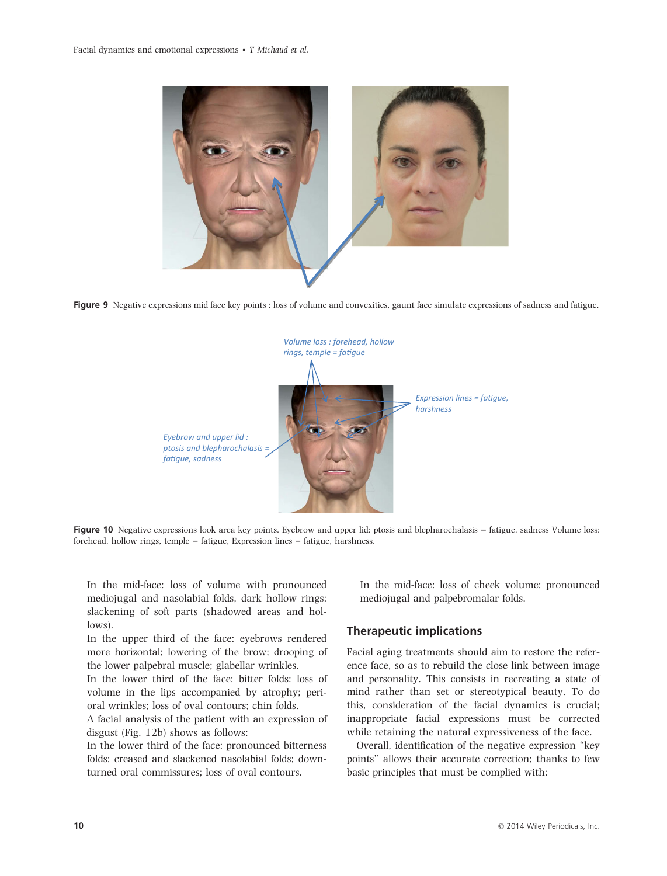

Figure 9 Negative expressions mid face key points : loss of volume and convexities, gaunt face simulate expressions of sadness and fatigue.



Figure 10 Negative expressions look area key points. Eyebrow and upper lid: ptosis and blepharochalasis = fatigue, sadness Volume loss: forehead, hollow rings, temple = fatigue, Expression lines = fatigue, harshness.

In the mid-face: loss of volume with pronounced mediojugal and nasolabial folds, dark hollow rings; slackening of soft parts (shadowed areas and hollows).

In the upper third of the face: eyebrows rendered more horizontal; lowering of the brow; drooping of the lower palpebral muscle; glabellar wrinkles.

In the lower third of the face: bitter folds; loss of volume in the lips accompanied by atrophy; perioral wrinkles; loss of oval contours; chin folds.

A facial analysis of the patient with an expression of disgust (Fig. 12b) shows as follows:

In the lower third of the face: pronounced bitterness folds; creased and slackened nasolabial folds; downturned oral commissures; loss of oval contours.

In the mid-face: loss of cheek volume; pronounced mediojugal and palpebromalar folds.

# Therapeutic implications

Facial aging treatments should aim to restore the reference face, so as to rebuild the close link between image and personality. This consists in recreating a state of mind rather than set or stereotypical beauty. To do this, consideration of the facial dynamics is crucial; inappropriate facial expressions must be corrected while retaining the natural expressiveness of the face.

Overall, identification of the negative expression "key points" allows their accurate correction; thanks to few basic principles that must be complied with: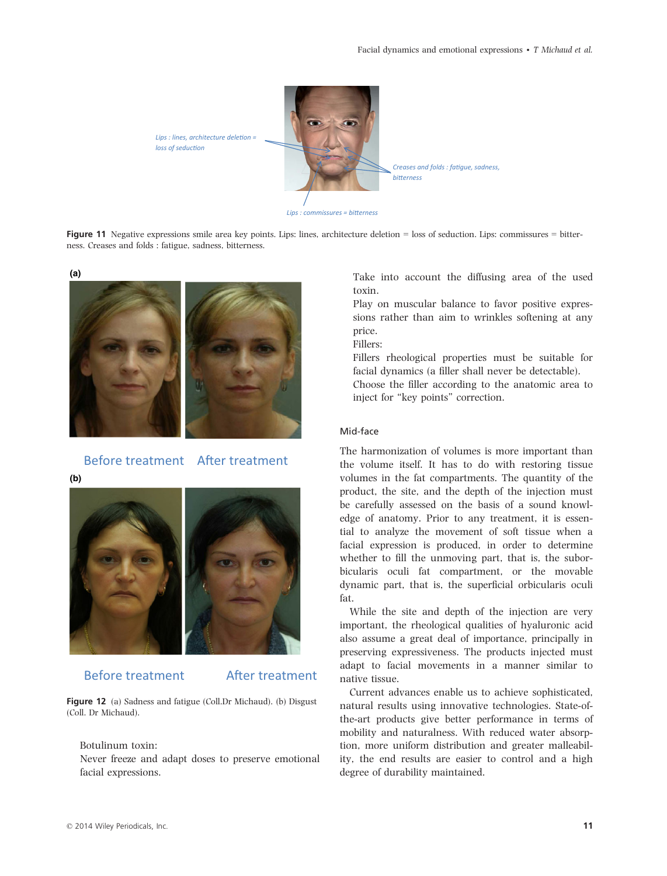

Figure 11 Negative expressions smile area key points. Lips: lines, architecture deletion = loss of seduction. Lips: commissures = bitterness. Creases and folds : fatigue, sadness, bitterness.



Before treatment After treatment



Before treatment

After treatment

Figure 12 (a) Sadness and fatigue (Coll.Dr Michaud). (b) Disgust (Coll. Dr Michaud).

Botulinum toxin:

Never freeze and adapt doses to preserve emotional facial expressions.

Take into account the diffusing area of the used toxin.

Play on muscular balance to favor positive expressions rather than aim to wrinkles softening at any price.

Fillers:

Fillers rheological properties must be suitable for facial dynamics (a filler shall never be detectable).

Choose the filler according to the anatomic area to inject for "key points" correction.

#### Mid-face

The harmonization of volumes is more important than the volume itself. It has to do with restoring tissue volumes in the fat compartments. The quantity of the product, the site, and the depth of the injection must be carefully assessed on the basis of a sound knowledge of anatomy. Prior to any treatment, it is essential to analyze the movement of soft tissue when a facial expression is produced, in order to determine whether to fill the unmoving part, that is, the suborbicularis oculi fat compartment, or the movable dynamic part, that is, the superficial orbicularis oculi fat.

While the site and depth of the injection are very important, the rheological qualities of hyaluronic acid also assume a great deal of importance, principally in preserving expressiveness. The products injected must adapt to facial movements in a manner similar to native tissue.

Current advances enable us to achieve sophisticated, natural results using innovative technologies. State-ofthe-art products give better performance in terms of mobility and naturalness. With reduced water absorption, more uniform distribution and greater malleability, the end results are easier to control and a high degree of durability maintained.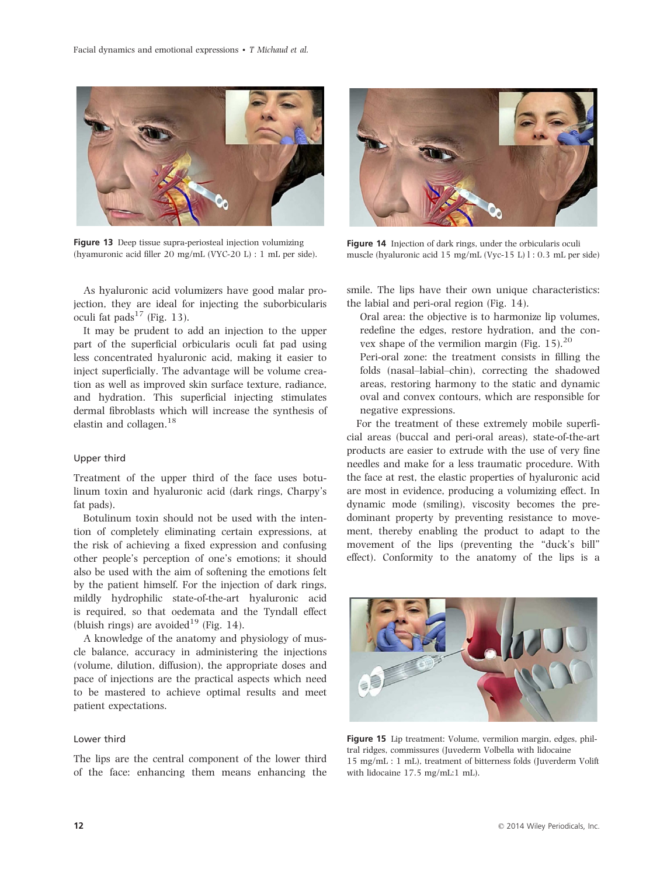

Figure 13 Deep tissue supra-periosteal injection volumizing (hyamuronic acid filler 20 mg/mL (VYC-20 L) : 1 mL per side).

As hyaluronic acid volumizers have good malar projection, they are ideal for injecting the suborbicularis oculi fat pads<sup>17</sup> (Fig. 13).

It may be prudent to add an injection to the upper part of the superficial orbicularis oculi fat pad using less concentrated hyaluronic acid, making it easier to inject superficially. The advantage will be volume creation as well as improved skin surface texture, radiance, and hydration. This superficial injecting stimulates dermal fibroblasts which will increase the synthesis of elastin and collagen. $^{18}$ 

#### Upper third

Treatment of the upper third of the face uses botulinum toxin and hyaluronic acid (dark rings, Charpy's fat pads).

Botulinum toxin should not be used with the intention of completely eliminating certain expressions, at the risk of achieving a fixed expression and confusing other people's perception of one's emotions; it should also be used with the aim of softening the emotions felt by the patient himself. For the injection of dark rings, mildly hydrophilic state-of-the-art hyaluronic acid is required, so that oedemata and the Tyndall effect (bluish rings) are avoided<sup>19</sup> (Fig. 14).

A knowledge of the anatomy and physiology of muscle balance, accuracy in administering the injections (volume, dilution, diffusion), the appropriate doses and pace of injections are the practical aspects which need to be mastered to achieve optimal results and meet patient expectations.

#### Lower third

The lips are the central component of the lower third of the face: enhancing them means enhancing the



Figure 14 Injection of dark rings, under the orbicularis oculi muscle (hyaluronic acid 15 mg/mL (Vyc-15 L) l : 0.3 mL per side)

smile. The lips have their own unique characteristics: the labial and peri-oral region (Fig. 14).

Oral area: the objective is to harmonize lip volumes, redefine the edges, restore hydration, and the convex shape of the vermilion margin (Fig.  $15$ ).<sup>20</sup>

Peri-oral zone: the treatment consists in filling the folds (nasal–labial–chin), correcting the shadowed areas, restoring harmony to the static and dynamic oval and convex contours, which are responsible for negative expressions.

For the treatment of these extremely mobile superficial areas (buccal and peri-oral areas), state-of-the-art products are easier to extrude with the use of very fine needles and make for a less traumatic procedure. With the face at rest, the elastic properties of hyaluronic acid are most in evidence, producing a volumizing effect. In dynamic mode (smiling), viscosity becomes the predominant property by preventing resistance to movement, thereby enabling the product to adapt to the movement of the lips (preventing the "duck's bill" effect). Conformity to the anatomy of the lips is a



Figure 15 Lip treatment: Volume, vermilion margin, edges, philtral ridges, commissures (Juvederm Volbella with lidocaine 15 mg/mL : 1 mL), treatment of bitterness folds (Juverderm Volift with lidocaine 17.5 mg/mL:1 mL).